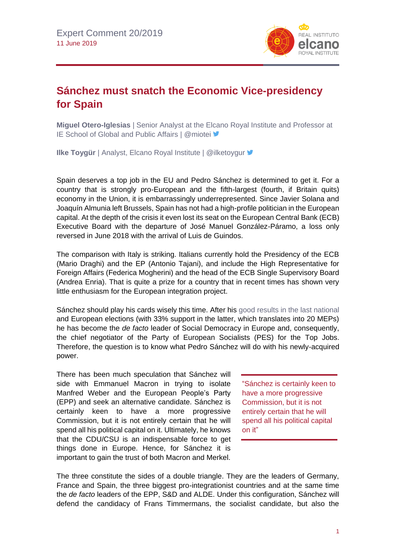

## **Sánchez must snatch the Economic Vice-presidency for Spain**

**Miguel Otero-Iglesias** | Senior Analyst at the Elcano Royal Institute and Professor at IE School of Global and Public Affairs | @miotei ♥

**Ilke Toygür** | Analyst, Elcano Royal Institute | @ilketoygur

Spain deserves a top job in the EU and Pedro Sánchez is determined to get it. For a country that is strongly pro-European and the fifth-largest (fourth, if Britain quits) economy in the Union, it is embarrassingly underrepresented. Since Javier Solana and Joaquín Almunia left Brussels, Spain has not had a high-profile politician in the European capital. At the depth of the crisis it even lost its seat on the European Central Bank (ECB) Executive Board with the departure of José Manuel González-Páramo, a loss only reversed in June 2018 with the arrival of Luis de Guindos.

The comparison with Italy is striking. Italians currently hold the Presidency of the ECB (Mario Draghi) and the EP (Antonio Tajani), and include the High Representative for Foreign Affairs (Federica Mogherini) and the head of the ECB Single Supervisory Board (Andrea Enria). That is quite a prize for a country that in recent times has shown very little enthusiasm for the European integration project.

Sánchez should play his cards wisely this time. After his [good results in the last national](http://www.realinstitutoelcano.org/wps/portal/rielcano_en/contenido?WCM_GLOBAL_CONTEXT=/elcano/elcano_in/zonas_in/commentary-chislett-socialists-won-spains-third-general-election-in-less-than-four-years-but-without-governing-majority) and European elections (with 33% support in the latter, which translates into 20 MEPs) he has become the *de facto* leader of Social Democracy in Europe and, consequently, the chief negotiator of the Party of European Socialists (PES) for the Top Jobs. Therefore, the question is to know what Pedro Sánchez will do with his newly-acquired power.

There has been much speculation that Sánchez will side with Emmanuel Macron in trying to isolate Manfred Weber and the European People's Party (EPP) and seek an alternative candidate. Sánchez is certainly keen to have a more progressive Commission, but it is not entirely certain that he will spend all his political capital on it. Ultimately, he knows that the CDU/CSU is an indispensable force to get things done in Europe. Hence, for Sánchez it is important to gain the trust of both Macron and Merkel.

"Sánchez is certainly keen to have a more progressive Commission, but it is not entirely certain that he will spend all his political capital on it"

The three constitute the sides of a double triangle. They are the leaders of Germany, France and Spain, the three biggest pro-integrationist countries and at the same time the *de facto* leaders of the EPP, S&D and ALDE. Under this configuration, Sánchez will defend the candidacy of Frans Timmermans, the socialist candidate, but also the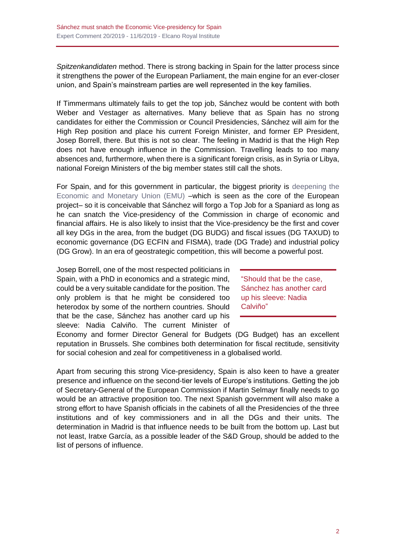*Spitzenkandidaten* method. There is strong backing in Spain for the latter process since it strengthens the power of the European Parliament, the main engine for an ever-closer union, and Spain's mainstream parties are well represented in the key families.

If Timmermans ultimately fails to get the top job, Sánchez would be content with both Weber and Vestager as alternatives. Many believe that as Spain has no strong candidates for either the Commission or Council Presidencies, Sánchez will aim for the High Rep position and place his current Foreign Minister, and former EP President, Josep Borrell, there. But this is not so clear. The feeling in Madrid is that the High Rep does not have enough influence in the Commission. Travelling leads to too many absences and, furthermore, when there is a significant foreign crisis, as in Syria or Libya, national Foreign Ministers of the big member states still call the shots.

For Spain, and for this government in particular, the biggest priority is [deepening the](http://www.realinstitutoelcano.org/wps/portal/rielcano_en/contenido?WCM_GLOBAL_CONTEXT=/elcano/elcano_in/zonas_in/international+economy/pickford-steinberg-oteroiglesias-how-to-fix-the-euro/)  [Economic and Monetary Union \(EMU\)](http://www.realinstitutoelcano.org/wps/portal/rielcano_en/contenido?WCM_GLOBAL_CONTEXT=/elcano/elcano_in/zonas_in/international+economy/pickford-steinberg-oteroiglesias-how-to-fix-the-euro/) –which is seen as the core of the European project– so it is conceivable that Sánchez will forgo a Top Job for a Spaniard as long as he can snatch the Vice-presidency of the Commission in charge of economic and financial affairs. He is also likely to insist that the Vice-presidency be the first and cover all key DGs in the area, from the budget (DG BUDG) and fiscal issues (DG TAXUD) to economic governance (DG ECFIN and FISMA), trade (DG Trade) and industrial policy (DG Grow). In an era of geostrategic competition, this will become a powerful post.

Josep Borrell, one of the most respected politicians in Spain, with a PhD in economics and a strategic mind, could be a very suitable candidate for the position. The only problem is that he might be considered too heterodox by some of the northern countries. Should that be the case, Sánchez has another card up his sleeve: Nadia Calviño. The current Minister of

"Should that be the case, Sánchez has another card up his sleeve: Nadia Calviño"

Economy and former Director General for Budgets (DG Budget) has an excellent reputation in Brussels. She combines both determination for fiscal rectitude, sensitivity for social cohesion and zeal for competitiveness in a globalised world.

Apart from securing this strong Vice-presidency, Spain is also keen to have a greater presence and influence on the second-tier levels of Europe's institutions. Getting the job of Secretary-General of the European Commission if Martin Selmayr finally needs to go would be an attractive proposition too. The next Spanish government will also make a strong effort to have Spanish officials in the cabinets of all the Presidencies of the three institutions and of key commissioners and in all the DGs and their units. The determination in Madrid is that influence needs to be built from the bottom up. Last but not least, Iratxe García, as a possible leader of the S&D Group, should be added to the list of persons of influence.